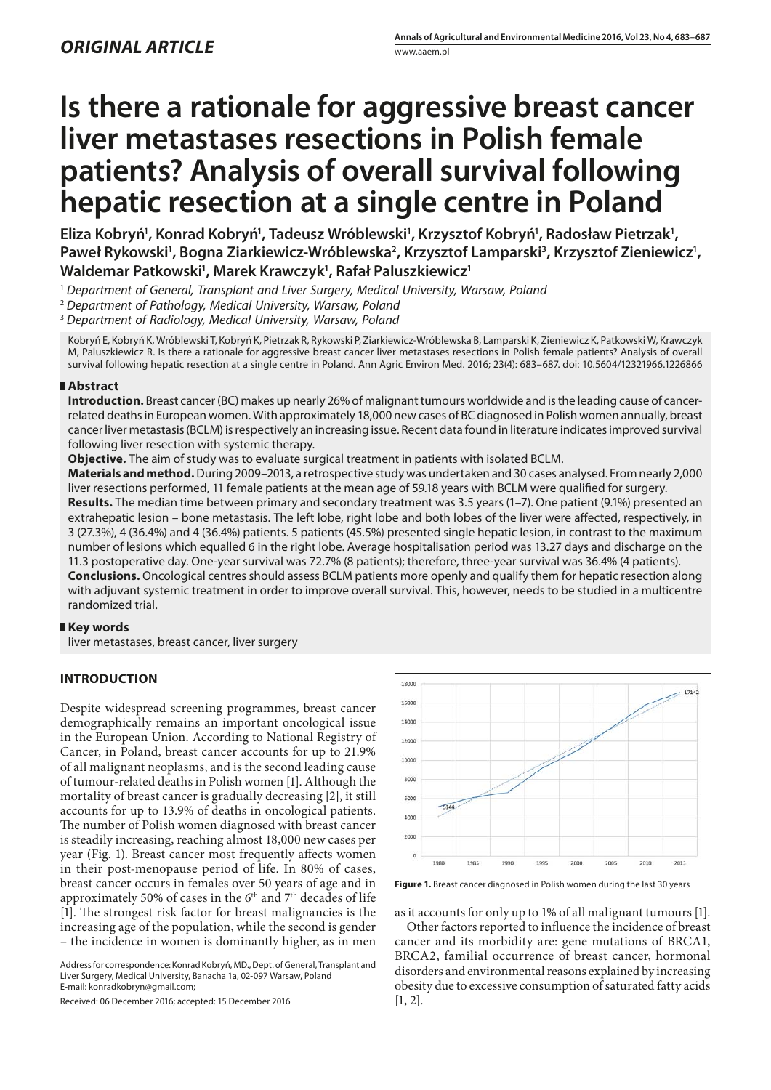# **Is there a rationale for aggressive breast cancer liver metastases resections in Polish female patients? Analysis of overall survival following hepatic resection at a single centre in Poland**

Eliza Kobryń', Konrad Kobryń', Tadeusz Wróblewski', Krzysztof Kobryń', Radosław Pietrzak', Paweł Rykowski<sup>1</sup>, Bogna Ziarkiewicz-Wróblewska<sup>2</sup>, Krzysztof Lamparski<sup>3</sup>, Krzysztof Zieniewicz<sup>1</sup>, **Waldemar Patkowski1 , Marek Krawczyk1 , Rafał Paluszkiewicz1**

- <sup>1</sup> *Department of General, Transplant and Liver Surgery, Medical University, Warsaw, Poland*
- <sup>2</sup> *Department of Pathology, Medical University, Warsaw, Poland*

<sup>3</sup> *Department of Radiology, Medical University, Warsaw, Poland*

Kobryń E, Kobryń K, Wróblewski T, Kobryń K, Pietrzak R, Rykowski P, Ziarkiewicz-Wróblewska B, Lamparski K, Zieniewicz K, Patkowski W, Krawczyk M, Paluszkiewicz R. Is there a rationale for aggressive breast cancer liver metastases resections in Polish female patients? Analysis of overall survival following hepatic resection at a single centre in Poland. Ann Agric Environ Med. 2016; 23(4): 683–687. doi: 10.5604/12321966.1226866

# **Abstract**

**Introduction.** Breast cancer (BC) makes up nearly 26% of malignant tumours worldwide and is the leading cause of cancerrelated deaths in European women. With approximately 18,000 new cases of BC diagnosed in Polish women annually, breast cancer liver metastasis (BCLM) is respectively an increasing issue. Recent data found in literature indicates improved survival following liver resection with systemic therapy.

**Objective.** The aim of study was to evaluate surgical treatment in patients with isolated BCLM.

**Materials and method.** During 2009–2013, a retrospective study was undertaken and 30 cases analysed. From nearly 2,000 liver resections performed, 11 female patients at the mean age of 59.18 years with BCLM were qualified for surgery.

**Results.** The median time between primary and secondary treatment was 3.5 years (1–7). One patient (9.1%) presented an extrahepatic lesion – bone metastasis. The left lobe, right lobe and both lobes of the liver were affected, respectively, in 3 (27.3%), 4 (36.4%) and 4 (36.4%) patients. 5 patients (45.5%) presented single hepatic lesion, in contrast to the maximum number of lesions which equalled 6 in the right lobe. Average hospitalisation period was 13.27 days and discharge on the 11.3 postoperative day. One-year survival was 72.7% (8 patients); therefore, three-year survival was 36.4% (4 patients).

**Conclusions.** Oncological centres should assess BCLM patients more openly and qualify them for hepatic resection along with adjuvant systemic treatment in order to improve overall survival. This, however, needs to be studied in a multicentre randomized trial.

# **Key words**

liver metastases, breast cancer, liver surgery

# **INTRODUCTION**

Despite widespread screening programmes, breast cancer demographically remains an important oncological issue in the European Union. According to National Registry of Cancer, in Poland, breast cancer accounts for up to 21.9% of all malignant neoplasms, and is the second leading cause of tumour-related deaths in Polish women [1]. Although the mortality of breast cancer is gradually decreasing [2], it still accounts for up to 13.9% of deaths in oncological patients. The number of Polish women diagnosed with breast cancer is steadily increasing, reaching almost 18,000 new cases per year (Fig. 1). Breast cancer most frequently affects women in their post-menopause period of life. In 80% of cases, breast cancer occurs in females over 50 years of age and in approximately 50% of cases in the 6th and 7th decades of life [1]. The strongest risk factor for breast malignancies is the increasing age of the population, while the second is gender – the incidence in women is dominantly higher, as in men

Address for correspondence: Konrad Kobryń, MD., Dept. of General, Transplant and Liver Surgery, Medical University, Banacha 1a, 02-097 Warsaw, Poland E-mail: konradkobryn@gmail.com;

Received: 06 December 2016; accepted: 15 December 2016



**Figure 1.** Breast cancer diagnosed in Polish women during the last 30 years

as it accounts for only up to 1% of all malignant tumours [1].

Other factors reported to influence the incidence of breast cancer and its morbidity are: gene mutations of BRCA1, BRCA2, familial occurrence of breast cancer, hormonal disorders and environmental reasons explained by increasing obesity due to excessive consumption of saturated fatty acids [1, 2].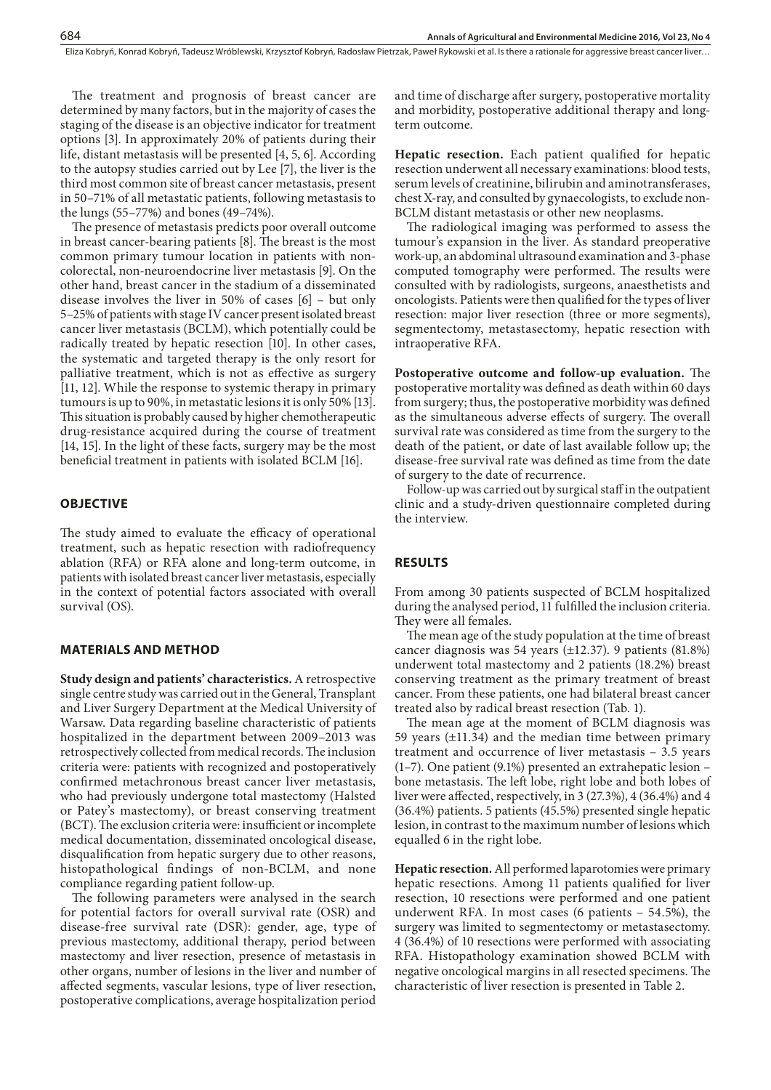Eliza Kobryń, Konrad Kobryń, Tadeusz Wróblewski, Krzysztof Kobryń, Radosław Pietrzak, Paweł Rykowski et al. Is there a rationale for aggressive breast cancer liver…

The treatment and prognosis of breast cancer are determined by many factors, but in the majority of cases the staging of the disease is an objective indicator for treatment options [3]. In approximately 20% of patients during their life, distant metastasis will be presented [4, 5, 6]. According to the autopsy studies carried out by Lee [7], the liver is the third most common site of breast cancer metastasis, present in 50–71% of all metastatic patients, following metastasis to the lungs (55–77%) and bones (49–74%).

The presence of metastasis predicts poor overall outcome in breast cancer-bearing patients [8]. The breast is the most common primary tumour location in patients with noncolorectal, non-neuroendocrine liver metastasis [9]. On the other hand, breast cancer in the stadium of a disseminated disease involves the liver in 50% of cases [6] – but only 5–25% of patients with stage IV cancer present isolated breast cancer liver metastasis (BCLM), which potentially could be radically treated by hepatic resection [10]. In other cases, the systematic and targeted therapy is the only resort for palliative treatment, which is not as effective as surgery [11, 12]. While the response to systemic therapy in primary tumours is up to 90%, in metastatic lesions it is only 50% [13]. This situation is probably caused by higher chemotherapeutic drug-resistance acquired during the course of treatment [14, 15]. In the light of these facts, surgery may be the most beneficial treatment in patients with isolated BCLM [16].

# **OBJECTIVE**

The study aimed to evaluate the efficacy of operational treatment, such as hepatic resection with radiofrequency ablation (RFA) or RFA alone and long-term outcome, in patients with isolated breast cancer liver metastasis, especially in the context of potential factors associated with overall survival (OS).

# **MATERIALS AND METHOD**

**Study design and patients' characteristics.** A retrospective single centre study was carried out in the General, Transplant and Liver Surgery Department at the Medical University of Warsaw. Data regarding baseline characteristic of patients hospitalized in the department between 2009–2013 was retrospectively collected from medical records. The inclusion criteria were: patients with recognized and postoperatively confirmed metachronous breast cancer liver metastasis, who had previously undergone total mastectomy (Halsted or Patey's mastectomy), or breast conserving treatment (BCT). The exclusion criteria were: insufficient or incomplete medical documentation, disseminated oncological disease, disqualification from hepatic surgery due to other reasons, histopathological findings of non-BCLM, and none compliance regarding patient follow-up.

The following parameters were analysed in the search for potential factors for overall survival rate (OSR) and disease-free survival rate (DSR): gender, age, type of previous mastectomy, additional therapy, period between mastectomy and liver resection, presence of metastasis in other organs, number of lesions in the liver and number of affected segments, vascular lesions, type of liver resection, postoperative complications, average hospitalization period

and time of discharge after surgery, postoperative mortality and morbidity, postoperative additional therapy and longterm outcome.

**Hepatic resection.** Each patient qualified for hepatic resection underwent all necessary examinations: blood tests, serum levels of creatinine, bilirubin and aminotransferases, chest X-ray, and consulted by gynaecologists, to exclude non-BCLM distant metastasis or other new neoplasms.

The radiological imaging was performed to assess the tumour's expansion in the liver. As standard preoperative work-up, an abdominal ultrasound examination and 3-phase computed tomography were performed. The results were consulted with by radiologists, surgeons, anaesthetists and oncologists. Patients were then qualified for the types of liver resection: major liver resection (three or more segments), segmentectomy, metastasectomy, hepatic resection with intraoperative RFA.

**Postoperative outcome and follow-up evaluation.** The postoperative mortality was defined as death within 60 days from surgery; thus, the postoperative morbidity was defined as the simultaneous adverse effects of surgery. The overall survival rate was considered as time from the surgery to the death of the patient, or date of last available follow up; the disease-free survival rate was defined as time from the date of surgery to the date of recurrence.

Follow-up was carried out by surgical staff in the outpatient clinic and a study-driven questionnaire completed during the interview.

#### **RESULTS**

From among 30 patients suspected of BCLM hospitalized during the analysed period, 11 fulfilled the inclusion criteria. They were all females.

The mean age of the study population at the time of breast cancer diagnosis was 54 years (±12.37). 9 patients (81.8%) underwent total mastectomy and 2 patients (18.2%) breast conserving treatment as the primary treatment of breast cancer. From these patients, one had bilateral breast cancer treated also by radical breast resection (Tab. 1).

The mean age at the moment of BCLM diagnosis was 59 years  $(\pm 11.34)$  and the median time between primary treatment and occurrence of liver metastasis – 3.5 years (1–7). One patient (9.1%) presented an extrahepatic lesion – bone metastasis. The left lobe, right lobe and both lobes of liver were affected, respectively, in 3 (27.3%), 4 (36.4%) and 4 (36.4%) patients. 5 patients (45.5%) presented single hepatic lesion, in contrast to the maximum number of lesions which equalled 6 in the right lobe.

**Hepatic resection.**All performed laparotomies were primary hepatic resections. Among 11 patients qualified for liver resection, 10 resections were performed and one patient underwent RFA. In most cases (6 patients – 54.5%), the surgery was limited to segmentectomy or metastasectomy. 4 (36.4%) of 10 resections were performed with associating RFA. Histopathology examination showed BCLM with negative oncological margins in all resected specimens. The characteristic of liver resection is presented in Table 2.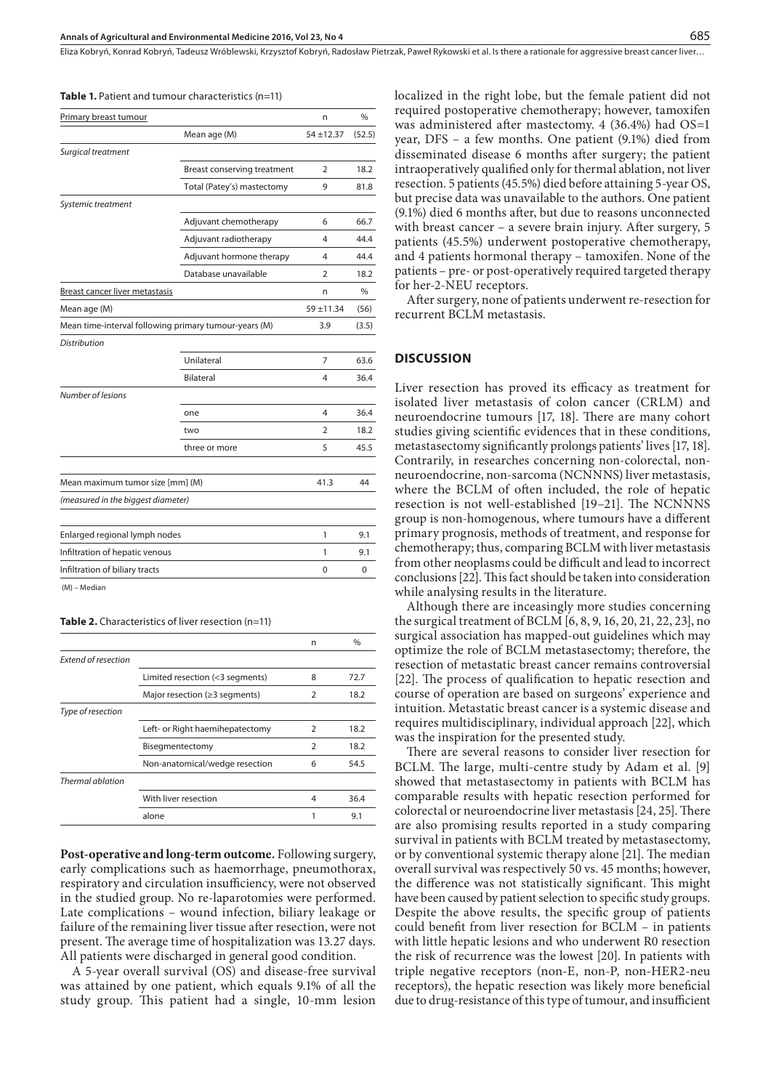Eliza Kobryń, Konrad Kobryń, Tadeusz Wróblewski, Krzysztof Kobryń, Radosław Pietrzak, Paweł Rykowski et al. Is there a rationale for aggressive breast cancer liver…

| <b>Table 1.</b> Patient and tumour characteristics (n=11) |  |  |
|-----------------------------------------------------------|--|--|
|-----------------------------------------------------------|--|--|

| Primary breast tumour              |                                                       | n              | $\frac{0}{0}$ |
|------------------------------------|-------------------------------------------------------|----------------|---------------|
|                                    | Mean age (M)                                          | $54 + 12.37$   | (52.5)        |
| Surgical treatment                 |                                                       |                |               |
|                                    | Breast conserving treatment                           | $\overline{2}$ | 18.2          |
|                                    | Total (Patey's) mastectomy                            | 9              | 81.8          |
| Systemic treatment                 |                                                       |                |               |
|                                    | Adjuvant chemotherapy                                 | 6              | 66.7          |
|                                    | Adjuvant radiotherapy                                 | 4              | 44.4          |
|                                    | Adjuvant hormone therapy                              | 4              | 44.4          |
|                                    | Database unavailable                                  | $\overline{2}$ | 18.2          |
| Breast cancer liver metastasis     |                                                       | n              | $\%$          |
| Mean age (M)                       |                                                       | $59 + 11.34$   | (56)          |
|                                    | Mean time-interval following primary tumour-years (M) | 3.9            | (3.5)         |
| <b>Distribution</b>                |                                                       |                |               |
|                                    | Unilateral                                            | 7              | 63.6          |
|                                    | <b>Bilateral</b>                                      | 4              | 36.4          |
| Number of lesions                  |                                                       |                |               |
|                                    | one                                                   | 4              | 36.4          |
|                                    | two                                                   | $\mathcal{P}$  | 18.2          |
|                                    | three or more                                         | 5              | 45.5          |
|                                    |                                                       |                |               |
| Mean maximum tumor size [mm] (M)   |                                                       | 41.3           | 44            |
| (measured in the biggest diameter) |                                                       |                |               |
|                                    |                                                       |                |               |
| Enlarged regional lymph nodes      |                                                       | 1              | 9.1           |
| Infiltration of hepatic venous     |                                                       | 1              | 9.1           |
| Infiltration of biliary tracts     |                                                       | 0              | 0             |
| (M) - Median                       |                                                       |                |               |

**Table 2.** Characteristics of liver resection (n=11)

|                            |                                      | n              | $\frac{0}{0}$ |
|----------------------------|--------------------------------------|----------------|---------------|
| <b>Extend of resection</b> |                                      |                |               |
|                            | Limited resection (<3 segments)      | 8              | 72.7          |
|                            | Major resection ( $\geq$ 3 segments) | 2              | 18.2          |
| Type of resection          |                                      |                |               |
|                            | Left- or Right haemihepatectomy      | 2              | 18.2          |
|                            | Bisegmentectomy                      | $\overline{2}$ | 18.2          |
|                            | Non-anatomical/wedge resection       | 6              | 54.5          |
| Thermal ablation           |                                      |                |               |
|                            | With liver resection                 | 4              | 36.4          |
|                            | alone                                | 1              | 9.1           |

**Post-operative and long-term outcome.** Following surgery, early complications such as haemorrhage, pneumothorax, respiratory and circulation insufficiency, were not observed in the studied group. No re-laparotomies were performed. Late complications – wound infection, biliary leakage or failure of the remaining liver tissue after resection, were not present. The average time of hospitalization was 13.27 days. All patients were discharged in general good condition.

A 5-year overall survival (OS) and disease-free survival was attained by one patient, which equals 9.1% of all the study group. This patient had a single, 10-mm lesion localized in the right lobe, but the female patient did not required postoperative chemotherapy; however, tamoxifen was administered after mastectomy. 4 (36.4%) had OS=1 year, DFS – a few months. One patient (9.1%) died from disseminated disease 6 months after surgery; the patient intraoperatively qualified only for thermal ablation, not liver resection. 5 patients (45.5%) died before attaining 5-year OS, but precise data was unavailable to the authors. One patient (9.1%) died 6 months after, but due to reasons unconnected with breast cancer – a severe brain injury. After surgery, 5 patients (45.5%) underwent postoperative chemotherapy, and 4 patients hormonal therapy – tamoxifen. None of the patients – pre- or post-operatively required targeted therapy for her-2-NEU receptors.

After surgery, none of patients underwent re-resection for recurrent BCLM metastasis.

## **DISCUSSION**

Liver resection has proved its efficacy as treatment for isolated liver metastasis of colon cancer (CRLM) and neuroendocrine tumours [17, 18]. There are many cohort studies giving scientific evidences that in these conditions, metastasectomy significantly prolongs patients' lives [17, 18]. Contrarily, in researches concerning non-colorectal, nonneuroendocrine, non-sarcoma (NCNNNS) liver metastasis, where the BCLM of often included, the role of hepatic resection is not well-established [19–21]. The NCNNNS group is non-homogenous, where tumours have a different primary prognosis, methods of treatment, and response for chemotherapy; thus, comparing BCLM with liver metastasis from other neoplasms could be difficult and lead to incorrect conclusions [22]. This fact should be taken into consideration while analysing results in the literature.

Although there are inceasingly more studies concerning the surgical treatment of BCLM [6, 8, 9, 16, 20, 21, 22, 23], no surgical association has mapped-out guidelines which may optimize the role of BCLM metastasectomy; therefore, the resection of metastatic breast cancer remains controversial [22]. The process of qualification to hepatic resection and course of operation are based on surgeons' experience and intuition. Metastatic breast cancer is a systemic disease and requires multidisciplinary, individual approach [22], which was the inspiration for the presented study.

There are several reasons to consider liver resection for BCLM. The large, multi-centre study by Adam et al. [9] showed that metastasectomy in patients with BCLM has comparable results with hepatic resection performed for colorectal or neuroendocrine liver metastasis [24, 25]. There are also promising results reported in a study comparing survival in patients with BCLM treated by metastasectomy, or by conventional systemic therapy alone [21]. The median overall survival was respectively 50 vs. 45 months; however, the difference was not statistically significant. This might have been caused by patient selection to specific study groups. Despite the above results, the specific group of patients could benefit from liver resection for BCLM – in patients with little hepatic lesions and who underwent R0 resection the risk of recurrence was the lowest [20]. In patients with triple negative receptors (non-E, non-P, non-HER2-neu receptors), the hepatic resection was likely more beneficial due to drug-resistance of this type of tumour, and insufficient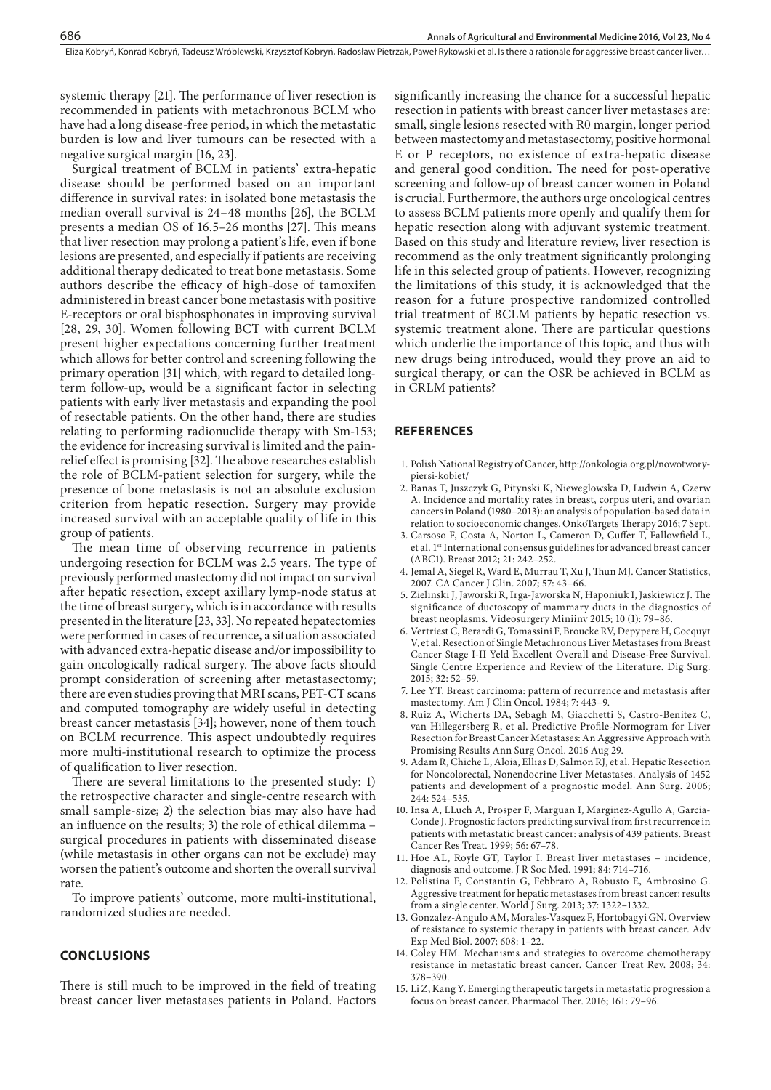Eliza Kobryń, Konrad Kobryń, Tadeusz Wróblewski, Krzysztof Kobryń, Radosław Pietrzak, Paweł Rykowski et al. Is there a rationale for aggressive breast cancer liver…

systemic therapy [21]. The performance of liver resection is recommended in patients with metachronous BCLM who have had a long disease-free period, in which the metastatic burden is low and liver tumours can be resected with a negative surgical margin [16, 23].

Surgical treatment of BCLM in patients' extra-hepatic disease should be performed based on an important difference in survival rates: in isolated bone metastasis the median overall survival is 24–48 months [26], the BCLM presents a median OS of 16.5–26 months [27]. This means that liver resection may prolong a patient's life, even if bone lesions are presented, and especially if patients are receiving additional therapy dedicated to treat bone metastasis. Some authors describe the efficacy of high-dose of tamoxifen administered in breast cancer bone metastasis with positive E-receptors or oral bisphosphonates in improving survival [28, 29, 30]. Women following BCT with current BCLM present higher expectations concerning further treatment which allows for better control and screening following the primary operation [31] which, with regard to detailed longterm follow-up, would be a significant factor in selecting patients with early liver metastasis and expanding the pool of resectable patients. On the other hand, there are studies relating to performing radionuclide therapy with Sm-153; the evidence for increasing survival is limited and the painrelief effect is promising [32]. The above researches establish the role of BCLM-patient selection for surgery, while the presence of bone metastasis is not an absolute exclusion criterion from hepatic resection. Surgery may provide increased survival with an acceptable quality of life in this group of patients.

The mean time of observing recurrence in patients undergoing resection for BCLM was 2.5 years. The type of previously performed mastectomy did not impact on survival after hepatic resection, except axillary lymp-node status at the time of breast surgery, which is in accordance with results presented in the literature [23, 33]. No repeated hepatectomies were performed in cases of recurrence, a situation associated with advanced extra-hepatic disease and/or impossibility to gain oncologically radical surgery. The above facts should prompt consideration of screening after metastasectomy; there are even studies proving that MRI scans, PET-CT scans and computed tomography are widely useful in detecting breast cancer metastasis [34]; however, none of them touch on BCLM recurrence. This aspect undoubtedly requires more multi-institutional research to optimize the process of qualification to liver resection.

There are several limitations to the presented study: 1) the retrospective character and single-centre research with small sample-size; 2) the selection bias may also have had an influence on the results; 3) the role of ethical dilemma – surgical procedures in patients with disseminated disease (while metastasis in other organs can not be exclude) may worsen the patient's outcome and shorten the overall survival rate.

To improve patients' outcome, more multi-institutional, randomized studies are needed.

## **CONCLUSIONS**

There is still much to be improved in the field of treating breast cancer liver metastases patients in Poland. Factors significantly increasing the chance for a successful hepatic resection in patients with breast cancer liver metastases are: small, single lesions resected with R0 margin, longer period between mastectomy and metastasectomy, positive hormonal E or P receptors, no existence of extra-hepatic disease and general good condition. The need for post-operative screening and follow-up of breast cancer women in Poland is crucial. Furthermore, the authors urge oncological centres to assess BCLM patients more openly and qualify them for hepatic resection along with adjuvant systemic treatment. Based on this study and literature review, liver resection is recommend as the only treatment significantly prolonging life in this selected group of patients. However, recognizing the limitations of this study, it is acknowledged that the reason for a future prospective randomized controlled trial treatment of BCLM patients by hepatic resection vs. systemic treatment alone. There are particular questions which underlie the importance of this topic, and thus with new drugs being introduced, would they prove an aid to surgical therapy, or can the OSR be achieved in BCLM as in CRLM patients?

# **REFERENCES**

- 1. Polish National Registry of Cancer, http://onkologia.org.pl/nowotworypiersi-kobiet/
- 2. Banas T, Juszczyk G, Pitynski K, Nieweglowska D, Ludwin A, Czerw A. Incidence and mortality rates in breast, corpus uteri, and ovarian cancers in Poland (1980–2013): an analysis of population-based data in relation to socioeconomic changes. OnkoTargets Therapy 2016; 7 Sept.
- 3. Carsoso F, Costa A, Norton L, Cameron D, Cuffer T, Fallowfield L, et al. 1st International consensus guidelines for advanced breast cancer (ABC1). Breast 2012; 21: 242–252.
- 4. Jemal A, Siegel R, Ward E, Murrau T, Xu J, Thun MJ. Cancer Statistics, 2007. CA Cancer J Clin. 2007; 57: 43–66.
- 5. Zielinski J, Jaworski R, Irga-Jaworska N, Haponiuk I, Jaskiewicz J. The significance of ductoscopy of mammary ducts in the diagnostics of breast neoplasms. Videosurgery Miniinv 2015; 10 (1): 79–86.
- 6. Vertriest C, Berardi G, Tomassini F, Broucke RV, Depypere H, Cocquyt V, et al. Resection of Single Metachronous Liver Metastases from Breast Cancer Stage I-II Yeld Excellent Overall and Disease-Free Survival. Single Centre Experience and Review of the Literature. Dig Surg. 2015; 32: 52–59.
- 7. Lee YT. Breast carcinoma: pattern of recurrence and metastasis after mastectomy. Am J Clin Oncol. 1984; 7: 443–9.
- 8. Ruiz A, Wicherts DA, Sebagh M, Giacchetti S, Castro-Benitez C, van Hillegersberg R, et al. Predictive Profile-Normogram for Liver Resection for Breast Cancer Metastases: An Aggressive Approach with Promising Results Ann Surg Oncol. 2016 Aug 29.
- 9. Adam R, Chiche L, Aloia, Ellias D, Salmon RJ, et al. Hepatic Resection for Noncolorectal, Nonendocrine Liver Metastases. Analysis of 1452 patients and development of a prognostic model. Ann Surg. 2006; 244: 524–535.
- 10. Insa A, LLuch A, Prosper F, Marguan I, Marginez-Agullo A, Garcia-Conde J. Prognostic factors predicting survival from first recurrence in patients with metastatic breast cancer: analysis of 439 patients. Breast Cancer Res Treat. 1999; 56: 67–78.
- 11. Hoe AL, Royle GT, Taylor I. Breast liver metastases incidence, diagnosis and outcome. J R Soc Med. 1991; 84: 714–716.
- 12. Polistina F, Constantin G, Febbraro A, Robusto E, Ambrosino G. Aggressive treatment for hepatic metastases from breast cancer: results from a single center. World J Surg. 2013; 37: 1322–1332.
- 13. Gonzalez-Angulo AM, Morales-Vasquez F, Hortobagyi GN. Overview of resistance to systemic therapy in patients with breast cancer. Adv Exp Med Biol. 2007; 608: 1–22.
- 14. Coley HM. Mechanisms and strategies to overcome chemotherapy resistance in metastatic breast cancer. Cancer Treat Rev. 2008; 34: 378–390.
- 15. Li Z, Kang Y. Emerging therapeutic targets in metastatic progression a focus on breast cancer. Pharmacol Ther. 2016; 161: 79–96.